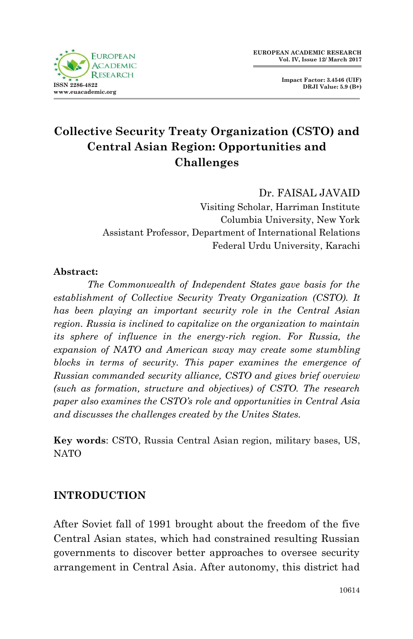

**Impact Factor: 3.4546 (UIF) DRJI Value: 5.9 (B+)**

# **Collective Security Treaty Organization (CSTO) and Central Asian Region: Opportunities and Challenges**

Dr. FAISAL JAVAID

Visiting Scholar, Harriman Institute Columbia University, New York Assistant Professor, Department of International Relations Federal Urdu University, Karachi

#### **Abstract:**

*The Commonwealth of Independent States gave basis for the establishment of Collective Security Treaty Organization (CSTO). It has been playing an important security role in the Central Asian region. Russia is inclined to capitalize on the organization to maintain*  its sphere of influence in the energy-rich region. For Russia, the *expansion of NATO and American sway may create some stumbling blocks in terms of security. This paper examines the emergence of Russian commanded security alliance, CSTO and gives brief overview (such as formation, structure and objectives) of CSTO. The research paper also examines the CSTO's role and opportunities in Central Asia and discusses the challenges created by the Unites States.*

**Key words**: CSTO, Russia Central Asian region, military bases, US, NATO

### **INTRODUCTION**

After Soviet fall of 1991 brought about the freedom of the five Central Asian states, which had constrained resulting Russian governments to discover better approaches to oversee security arrangement in Central Asia. After autonomy, this district had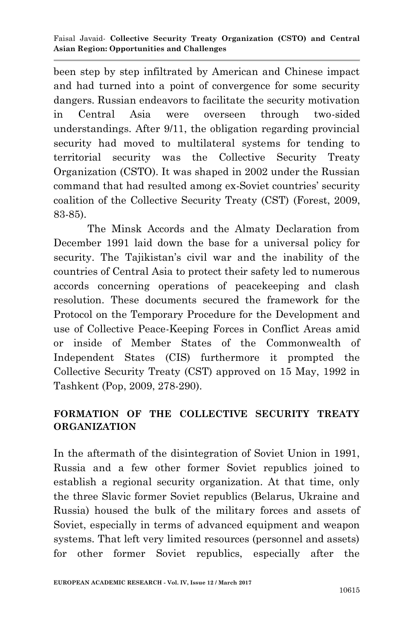been step by step infiltrated by American and Chinese impact and had turned into a point of convergence for some security dangers. Russian endeavors to facilitate the security motivation in Central Asia were overseen through two-sided understandings. After 9/11, the obligation regarding provincial security had moved to multilateral systems for tending to territorial security was the Collective Security Treaty Organization (CSTO). It was shaped in 2002 under the Russian command that had resulted among ex-Soviet countries" security coalition of the Collective Security Treaty (CST) (Forest, 2009, 83-85).

The Minsk Accords and the Almaty Declaration from December 1991 laid down the base for a universal policy for security. The Tajikistan's civil war and the inability of the countries of Central Asia to protect their safety led to numerous accords concerning operations of peacekeeping and clash resolution. These documents secured the framework for the Protocol on the Temporary Procedure for the Development and use of Collective Peace-Keeping Forces in Conflict Areas amid or inside of Member States of the Commonwealth of Independent States (CIS) furthermore it prompted the Collective Security Treaty (CST) approved on 15 May, 1992 in Tashkent (Pop, 2009, 278-290).

# **FORMATION OF THE COLLECTIVE SECURITY TREATY ORGANIZATION**

In the aftermath of the disintegration of Soviet Union in 1991, Russia and a few other former Soviet republics joined to establish a regional security organization. At that time, only the three Slavic former Soviet republics (Belarus, Ukraine and Russia) housed the bulk of the military forces and assets of Soviet, especially in terms of advanced equipment and weapon systems. That left very limited resources (personnel and assets) for other former Soviet republics, especially after the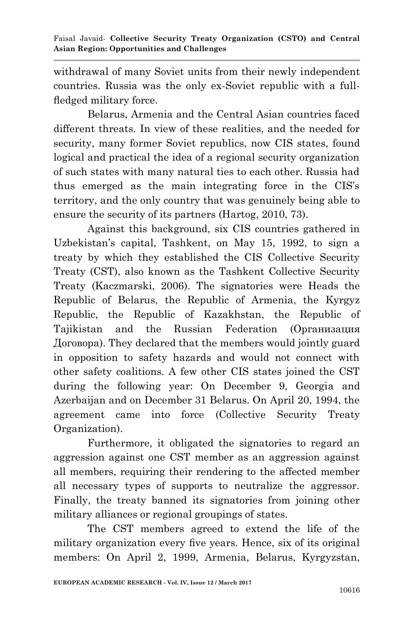withdrawal of many Soviet units from their newly independent countries. Russia was the only ex-Soviet republic with a fullfledged military force.

 Belarus, Armenia and the Central Asian countries faced different threats. In view of these realities, and the needed for security, many former Soviet republics, now CIS states, found logical and practical the idea of a regional security organization of such states with many natural ties to each other. Russia had thus emerged as the main integrating force in the CIS"s territory, and the only country that was genuinely being able to ensure the security of its partners (Hartog, 2010, 73).

 Against this background, six CIS countries gathered in Uzbekistan"s capital, Tashkent, on May 15, 1992, to sign a treaty by which they established the CIS Collective Security Treaty (CST), also known as the Tashkent Collective Security Treaty (Kaczmarski, 2006). The signatories were Heads the Republic of Belarus, the Republic of Armenia, the Kyrgyz Republic, the Republic of Kazakhstan, the Republic of Tajikistan and the Russian Federation (Организация Договора). They declared that the members would jointly guard in opposition to safety hazards and would not connect with other safety coalitions. A few other CIS states joined the CST during the following year: On December 9, Georgia and Azerbaijan and on December 31 Belarus. On April 20, 1994, the agreement came into force (Collective Security Treaty Organization).

 Furthermore, it obligated the signatories to regard an aggression against one CST member as an aggression against all members, requiring their rendering to the affected member all necessary types of supports to neutralize the aggressor. Finally, the treaty banned its signatories from joining other military alliances or regional groupings of states.

 The CST members agreed to extend the life of the military organization every five years. Hence, six of its original members: On April 2, 1999, Armenia, Belarus, Kyrgyzstan,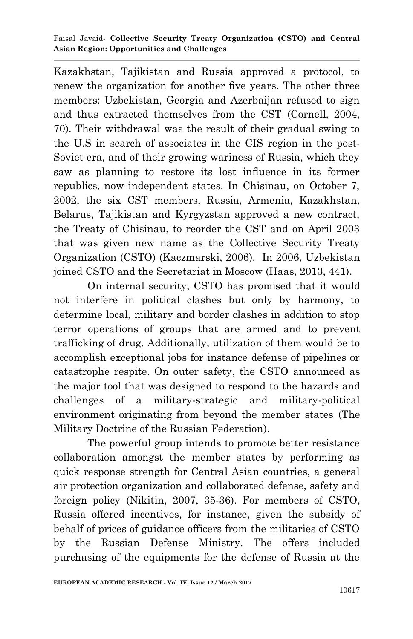Kazakhstan, Tajikistan and Russia approved a protocol, to renew the organization for another five years. The other three members: Uzbekistan, Georgia and Azerbaijan refused to sign and thus extracted themselves from the CST (Cornell, 2004, 70). Their withdrawal was the result of their gradual swing to the U.S in search of associates in the CIS region in the post-Soviet era, and of their growing wariness of Russia, which they saw as planning to restore its lost influence in its former republics, now independent states. In Chisinau, on October 7, 2002, the six CST members, Russia, Armenia, Kazakhstan, Belarus, Tajikistan and Kyrgyzstan approved a new contract, the Treaty of Chisinau, to reorder the CST and on April 2003 that was given new name as the Collective Security Treaty Organization (CSTO) (Kaczmarski, 2006). In 2006, Uzbekistan joined CSTO and the Secretariat in Moscow (Haas, 2013, 441).

 On internal security, CSTO has promised that it would not interfere in political clashes but only by harmony, to determine local, military and border clashes in addition to stop terror operations of groups that are armed and to prevent trafficking of drug. Additionally, utilization of them would be to accomplish exceptional jobs for instance defense of pipelines or catastrophe respite. On outer safety, the CSTO announced as the major tool that was designed to respond to the hazards and challenges of a military-strategic and military-political environment originating from beyond the member states (The Military Doctrine of the Russian Federation).

 The powerful group intends to promote better resistance collaboration amongst the member states by performing as quick response strength for Central Asian countries, a general air protection organization and collaborated defense, safety and foreign policy (Nikitin, 2007, 35-36). For members of CSTO, Russia offered incentives, for instance, given the subsidy of behalf of prices of guidance officers from the militaries of CSTO by the Russian Defense Ministry. The offers included purchasing of the equipments for the defense of Russia at the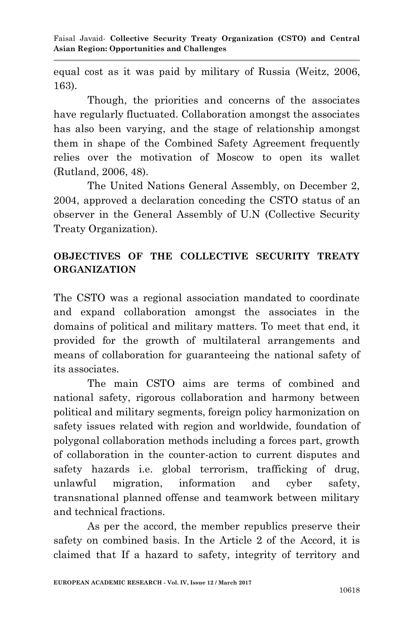Faisal Javaid*-* **Collective Security Treaty Organization (CSTO) and Central Asian Region: Opportunities and Challenges**

equal cost as it was paid by military of Russia (Weitz, 2006, 163).

 Though, the priorities and concerns of the associates have regularly fluctuated. Collaboration amongst the associates has also been varying, and the stage of relationship amongst them in shape of the Combined Safety Agreement frequently relies over the motivation of Moscow to open its wallet (Rutland, 2006, 48).

 The United Nations General Assembly, on December 2, 2004, approved a declaration conceding the CSTO status of an observer in the General Assembly of U.N (Collective Security Treaty Organization).

## **OBJECTIVES OF THE COLLECTIVE SECURITY TREATY ORGANIZATION**

The CSTO was a regional association mandated to coordinate and expand collaboration amongst the associates in the domains of political and military matters. To meet that end, it provided for the growth of multilateral arrangements and means of collaboration for guaranteeing the national safety of its associates.

 The main CSTO aims are terms of combined and national safety, rigorous collaboration and harmony between political and military segments, foreign policy harmonization on safety issues related with region and worldwide, foundation of polygonal collaboration methods including a forces part, growth of collaboration in the counter-action to current disputes and safety hazards i.e. global terrorism, trafficking of drug, unlawful migration, information and cyber safety, transnational planned offense and teamwork between military and technical fractions.

 As per the accord, the member republics preserve their safety on combined basis. In the Article 2 of the Accord, it is claimed that If a hazard to safety, integrity of territory and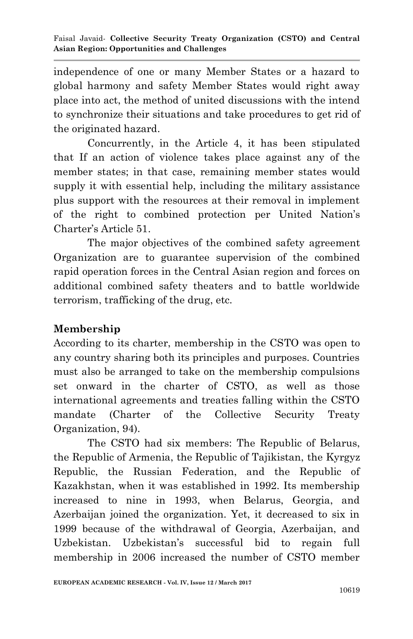independence of one or many Member States or a hazard to global harmony and safety Member States would right away place into act, the method of united discussions with the intend to synchronize their situations and take procedures to get rid of the originated hazard.

 Concurrently, in the Article 4, it has been stipulated that If an action of violence takes place against any of the member states; in that case, remaining member states would supply it with essential help, including the military assistance plus support with the resources at their removal in implement of the right to combined protection per United Nation"s Charter"s Article 51.

 The major objectives of the combined safety agreement Organization are to guarantee supervision of the combined rapid operation forces in the Central Asian region and forces on additional combined safety theaters and to battle worldwide terrorism, trafficking of the drug, etc.

# **Membership**

According to its charter, membership in the CSTO was open to any country sharing both its principles and purposes. Countries must also be arranged to take on the membership compulsions set onward in the charter of CSTO, as well as those international agreements and treaties falling within the CSTO mandate (Charter of the Collective Security Treaty Organization, 94).

The CSTO had six members: The Republic of Belarus, the Republic of Armenia, the Republic of Tajikistan, the Kyrgyz Republic, the Russian Federation, and the Republic of Kazakhstan, when it was established in 1992. Its membership increased to nine in 1993, when Belarus, Georgia, and Azerbaijan joined the organization. Yet, it decreased to six in 1999 because of the withdrawal of Georgia, Azerbaijan, and Uzbekistan. Uzbekistan"s successful bid to regain full membership in 2006 increased the number of CSTO member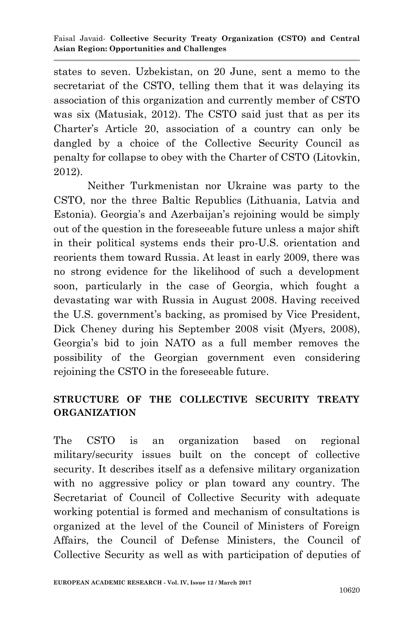states to seven. Uzbekistan, on 20 June, sent a memo to the secretariat of the CSTO, telling them that it was delaying its association of this organization and currently member of CSTO was six (Matusiak, 2012). The CSTO said just that as per its Charter"s Article 20, association of a country can only be dangled by a choice of the Collective Security Council as penalty for collapse to obey with the Charter of CSTO (Litovkin, 2012).

Neither Turkmenistan nor Ukraine was party to the CSTO, nor the three Baltic Republics (Lithuania, Latvia and Estonia). Georgia's and Azerbaijan's rejoining would be simply out of the question in the foreseeable future unless a major shift in their political systems ends their pro-U.S. orientation and reorients them toward Russia. At least in early 2009, there was no strong evidence for the likelihood of such a development soon, particularly in the case of Georgia, which fought a devastating war with Russia in August 2008. Having received the U.S. government's backing, as promised by Vice President, Dick Cheney during his September 2008 visit (Myers, 2008), Georgia"s bid to join NATO as a full member removes the possibility of the Georgian government even considering rejoining the CSTO in the foreseeable future.

# **STRUCTURE OF THE COLLECTIVE SECURITY TREATY ORGANIZATION**

The CSTO is an organization based on regional military/security issues built on the concept of collective security. It describes itself as a defensive military organization with no aggressive policy or plan toward any country. The Secretariat of Council of Collective Security with adequate working potential is formed and mechanism of consultations is organized at the level of the Council of Ministers of Foreign Affairs, the Council of Defense Ministers, the Council of Collective Security as well as with participation of deputies of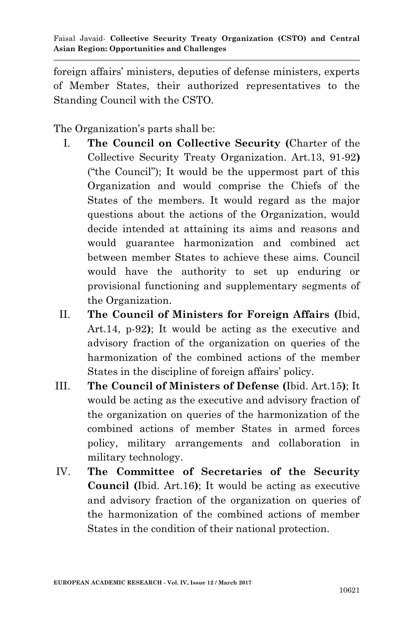foreign affairs" ministers, deputies of defense ministers, experts of Member States, their authorized representatives to the Standing Council with the CSTO.

The Organization's parts shall be:

- I. **The Council on Collective Security (**Charter of the Collective Security Treaty Organization. Art.13, 91-92**)** ("the Council"); It would be the uppermost part of this Organization and would comprise the Chiefs of the States of the members. It would regard as the major questions about the actions of the Organization, would decide intended at attaining its aims and reasons and would guarantee harmonization and combined act between member States to achieve these aims. Council would have the authority to set up enduring or provisional functioning and supplementary segments of the Organization.
- II. **The Council of Ministers for Foreign Affairs (**Ibid, Art.14, p-92**)**; It would be acting as the executive and advisory fraction of the organization on queries of the harmonization of the combined actions of the member States in the discipline of foreign affairs' policy.
- III. **The Council of Ministers of Defense (**Ibid. Art.15**)**; It would be acting as the executive and advisory fraction of the organization on queries of the harmonization of the combined actions of member States in armed forces policy, military arrangements and collaboration in military technology.
- IV. **The Committee of Secretaries of the Security Council (**Ibid. Art.16**)**; It would be acting as executive and advisory fraction of the organization on queries of the harmonization of the combined actions of member States in the condition of their national protection.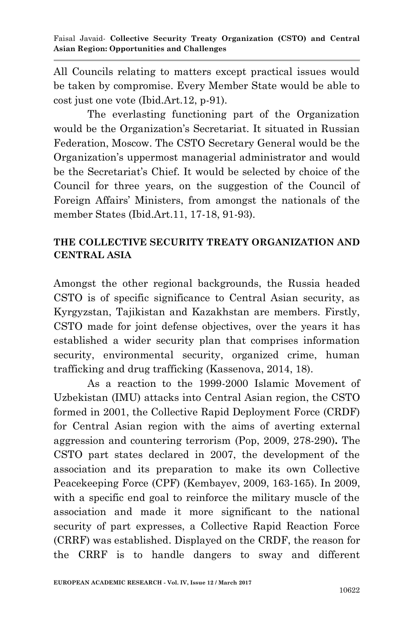All Councils relating to matters except practical issues would be taken by compromise. Every Member State would be able to cost just one vote (Ibid.Art.12, p-91).

The everlasting functioning part of the Organization would be the Organization's Secretariat. It situated in Russian Federation, Moscow. The CSTO Secretary General would be the Organization"s uppermost managerial administrator and would be the Secretariat's Chief. It would be selected by choice of the Council for three years, on the suggestion of the Council of Foreign Affairs" Ministers, from amongst the nationals of the member States (Ibid.Art.11, 17-18, 91-93).

### **THE COLLECTIVE SECURITY TREATY ORGANIZATION AND CENTRAL ASIA**

Amongst the other regional backgrounds, the Russia headed CSTO is of specific significance to Central Asian security, as Kyrgyzstan, Tajikistan and Kazakhstan are members. Firstly, CSTO made for joint defense objectives, over the years it has established a wider security plan that comprises information security, environmental security, organized crime, human trafficking and drug trafficking (Kassenova, 2014, 18).

As a reaction to the 1999-2000 Islamic Movement of Uzbekistan (IMU) attacks into Central Asian region, the CSTO formed in 2001, the Collective Rapid Deployment Force (CRDF) for Central Asian region with the aims of averting external aggression and countering terrorism (Pop, 2009, 278-290)**.** The CSTO part states declared in 2007, the development of the association and its preparation to make its own Collective Peacekeeping Force (CPF) (Kembayev, 2009, 163-165). In 2009, with a specific end goal to reinforce the military muscle of the association and made it more significant to the national security of part expresses, a Collective Rapid Reaction Force (CRRF) was established. Displayed on the CRDF, the reason for the CRRF is to handle dangers to sway and different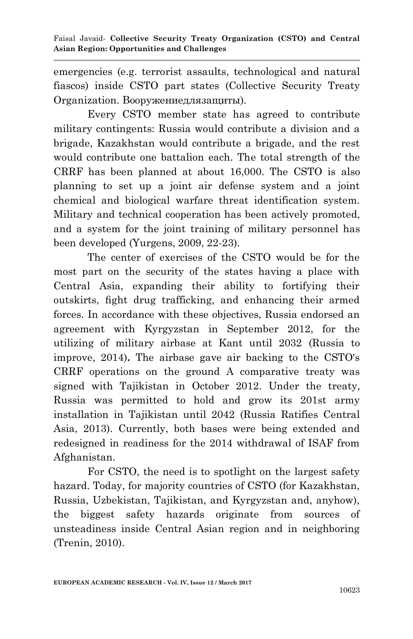emergencies (e.g. terrorist assaults, technological and natural fiascos) inside CSTO part states (Collective Security Treaty Organization. Вооружениедлязащиты).

Every CSTO member state has agreed to contribute military contingents: Russia would contribute a division and a brigade, Kazakhstan would contribute a brigade, and the rest would contribute one battalion each. The total strength of the CRRF has been planned at about 16,000. The CSTO is also planning to set up a joint air defense system and a joint chemical and biological warfare threat identification system. Military and technical cooperation has been actively promoted, and a system for the joint training of military personnel has been developed (Yurgens, 2009, 22-23).

The center of exercises of the CSTO would be for the most part on the security of the states having a place with Central Asia, expanding their ability to fortifying their outskirts, fight drug trafficking, and enhancing their armed forces. In accordance with these objectives, Russia endorsed an agreement with Kyrgyzstan in September 2012, for the utilizing of military airbase at Kant until 2032 (Russia to improve, 2014)**.** The airbase gave air backing to the CSTO's CRRF operations on the ground A comparative treaty was signed with Tajikistan in October 2012. Under the treaty, Russia was permitted to hold and grow its 201st army installation in Tajikistan until 2042 (Russia Ratifies Central Asia, 2013). Currently, both bases were being extended and redesigned in readiness for the 2014 withdrawal of ISAF from Afghanistan.

 For CSTO, the need is to spotlight on the largest safety hazard. Today, for majority countries of CSTO (for Kazakhstan, Russia, Uzbekistan, Tajikistan, and Kyrgyzstan and, anyhow), the biggest safety hazards originate from sources of unsteadiness inside Central Asian region and in neighboring (Trenin, 2010).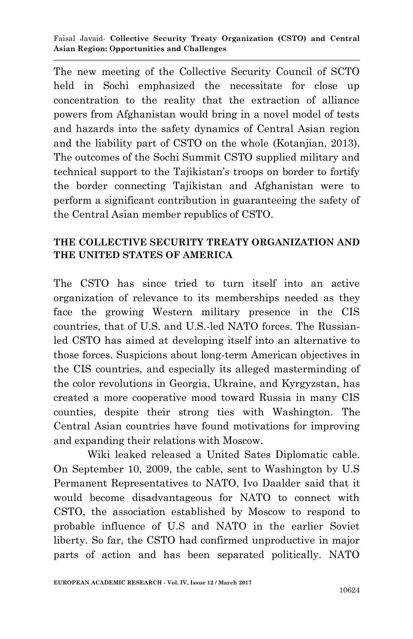Faisal Javaid*-* **Collective Security Treaty Organization (CSTO) and Central Asian Region: Opportunities and Challenges**

The new meeting of the Collective Security Council of SCTO held in Sochi emphasized the necessitate for close up concentration to the reality that the extraction of alliance powers from Afghanistan would bring in a novel model of tests and hazards into the safety dynamics of Central Asian region and the liability part of CSTO on the whole (Kotanjian, 2013). The outcomes of the Sochi Summit CSTO supplied military and technical support to the Tajikistan"s troops on border to fortify the border connecting Tajikistan and Afghanistan were to perform a significant contribution in guaranteeing the safety of the Central Asian member republics of CSTO.

#### **THE COLLECTIVE SECURITY TREATY ORGANIZATION AND THE UNITED STATES OF AMERICA**

The CSTO has since tried to turn itself into an active organization of relevance to its memberships needed as they face the growing Western military presence in the CIS countries, that of U.S. and U.S.-led NATO forces. The Russianled CSTO has aimed at developing itself into an alternative to those forces. Suspicions about long-term American objectives in the CIS countries, and especially its alleged masterminding of the color revolutions in Georgia, Ukraine, and Kyrgyzstan, has created a more cooperative mood toward Russia in many CIS counties, despite their strong ties with Washington. The Central Asian countries have found motivations for improving and expanding their relations with Moscow.

 Wiki leaked released a United Sates Diplomatic cable. On September 10, 2009, the cable, sent to Washington by U.S Permanent Representatives to NATO, Ivo Daalder said that it would become disadvantageous for NATO to connect with CSTO, the association established by Moscow to respond to probable influence of U.S and NATO in the earlier Soviet liberty. So far, the CSTO had confirmed unproductive in major parts of action and has been separated politically. NATO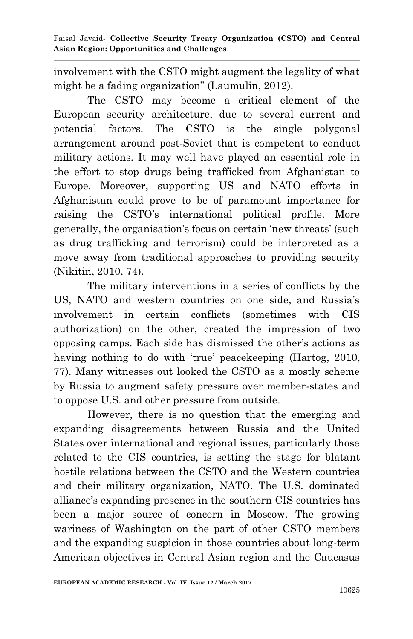involvement with the CSTO might augment the legality of what might be a fading organization" (Laumulin, 2012).

 The CSTO may become a critical element of the European security architecture, due to several current and potential factors. The CSTO is the single polygonal arrangement around post-Soviet that is competent to conduct military actions. It may well have played an essential role in the effort to stop drugs being trafficked from Afghanistan to Europe. Moreover, supporting US and NATO efforts in Afghanistan could prove to be of paramount importance for raising the CSTO"s international political profile. More generally, the organisation"s focus on certain "new threats" (such as drug trafficking and terrorism) could be interpreted as a move away from traditional approaches to providing security (Nikitin, 2010, 74).

 The military interventions in a series of conflicts by the US, NATO and western countries on one side, and Russia"s involvement in certain conflicts (sometimes with CIS authorization) on the other, created the impression of two opposing camps. Each side has dismissed the other"s actions as having nothing to do with 'true' peacekeeping (Hartog, 2010, 77). Many witnesses out looked the CSTO as a mostly scheme by Russia to augment safety pressure over member-states and to oppose U.S. and other pressure from outside.

 However, there is no question that the emerging and expanding disagreements between Russia and the United States over international and regional issues, particularly those related to the CIS countries, is setting the stage for blatant hostile relations between the CSTO and the Western countries and their military organization, NATO. The U.S. dominated alliance"s expanding presence in the southern CIS countries has been a major source of concern in Moscow. The growing wariness of Washington on the part of other CSTO members and the expanding suspicion in those countries about long-term American objectives in Central Asian region and the Caucasus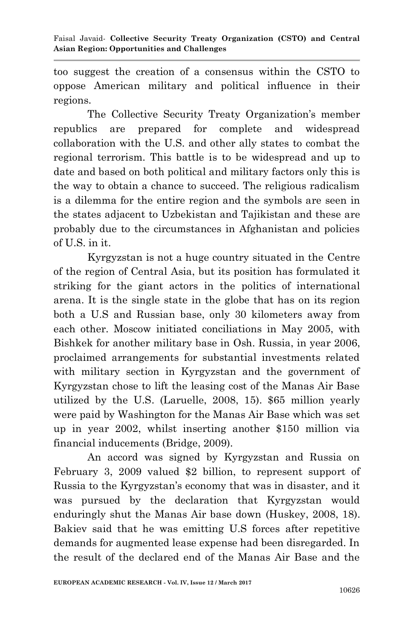too suggest the creation of a consensus within the CSTO to oppose American military and political influence in their regions.

The Collective Security Treaty Organization's member republics are prepared for complete and widespread collaboration with the U.S. and other ally states to combat the regional terrorism. This battle is to be widespread and up to date and based on both political and military factors only this is the way to obtain a chance to succeed. The religious radicalism is a dilemma for the entire region and the symbols are seen in the states adjacent to Uzbekistan and Tajikistan and these are probably due to the circumstances in Afghanistan and policies of U.S. in it.

 Kyrgyzstan is not a huge country situated in the Centre of the region of Central Asia, but its position has formulated it striking for the giant actors in the politics of international arena. It is the single state in the globe that has on its region both a U.S and Russian base, only 30 kilometers away from each other. Moscow initiated conciliations in May 2005, with Bishkek for another military base in Osh. Russia, in year 2006, proclaimed arrangements for substantial investments related with military section in Kyrgyzstan and the government of Kyrgyzstan chose to lift the leasing cost of the Manas Air Base utilized by the U.S. (Laruelle, 2008, 15). \$65 million yearly were paid by Washington for the Manas Air Base which was set up in year 2002, whilst inserting another \$150 million via financial inducements (Bridge, 2009).

 An accord was signed by Kyrgyzstan and Russia on February 3, 2009 valued \$2 billion, to represent support of Russia to the Kyrgyzstan"s economy that was in disaster, and it was pursued by the declaration that Kyrgyzstan would enduringly shut the Manas Air base down (Huskey, 2008, 18). Bakiev said that he was emitting U.S forces after repetitive demands for augmented lease expense had been disregarded. In the result of the declared end of the Manas Air Base and the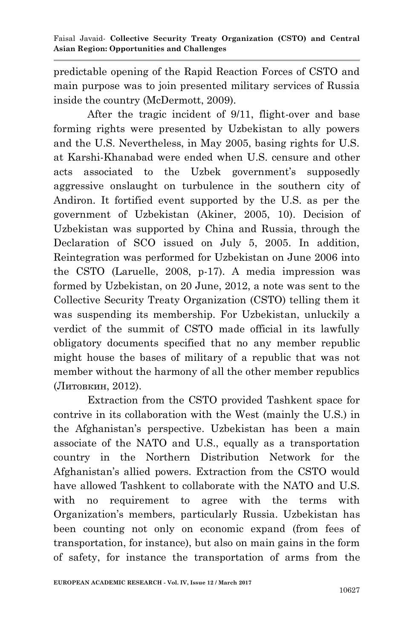predictable opening of the Rapid Reaction Forces of CSTO and main purpose was to join presented military services of Russia inside the country (McDermott, 2009).

 After the tragic incident of 9/11, flight-over and base forming rights were presented by Uzbekistan to ally powers and the U.S. Nevertheless, in May 2005, basing rights for U.S. at Karshi-Khanabad were ended when U.S. censure and other acts associated to the Uzbek government's supposedly aggressive onslaught on turbulence in the southern city of Andiron. It fortified event supported by the U.S. as per the government of Uzbekistan (Akiner, 2005, 10). Decision of Uzbekistan was supported by China and Russia, through the Declaration of SCO issued on July 5, 2005. In addition, Reintegration was performed for Uzbekistan on June 2006 into the CSTO (Laruelle, 2008, p-17). A media impression was formed by Uzbekistan, on 20 June, 2012, a note was sent to the Collective Security Treaty Organization (CSTO) telling them it was suspending its membership. For Uzbekistan, unluckily a verdict of the summit of CSTO made official in its lawfully obligatory documents specified that no any member republic might house the bases of military of a republic that was not member without the harmony of all the other member republics (Литовкин, 2012).

 Extraction from the CSTO provided Tashkent space for contrive in its collaboration with the West (mainly the U.S.) in the Afghanistan"s perspective. Uzbekistan has been a main associate of the NATO and U.S., equally as a transportation country in the Northern Distribution Network for the Afghanistan's allied powers. Extraction from the CSTO would have allowed Tashkent to collaborate with the NATO and U.S. with no requirement to agree with the terms with Organization"s members, particularly Russia. Uzbekistan has been counting not only on economic expand (from fees of transportation, for instance), but also on main gains in the form of safety, for instance the transportation of arms from the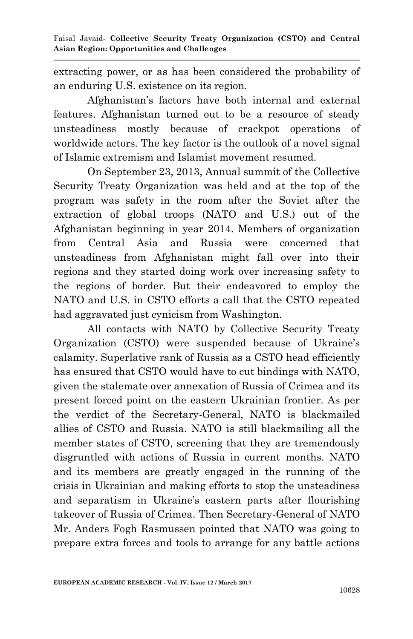extracting power, or as has been considered the probability of an enduring U.S. existence on its region.

 Afghanistan"s factors have both internal and external features. Afghanistan turned out to be a resource of steady unsteadiness mostly because of crackpot operations of worldwide actors. The key factor is the outlook of a novel signal of Islamic extremism and Islamist movement resumed.

 On September 23, 2013, Annual summit of the Collective Security Treaty Organization was held and at the top of the program was safety in the room after the Soviet after the extraction of global troops (NATO and U.S.) out of the Afghanistan beginning in year 2014. Members of organization from Central Asia and Russia were concerned that unsteadiness from Afghanistan might fall over into their regions and they started doing work over increasing safety to the regions of border. But their endeavored to employ the NATO and U.S. in CSTO efforts a call that the CSTO repeated had aggravated just cynicism from Washington.

 All contacts with NATO by Collective Security Treaty Organization (CSTO) were suspended because of Ukraine"s calamity. Superlative rank of Russia as a CSTO head efficiently has ensured that CSTO would have to cut bindings with NATO, given the stalemate over annexation of Russia of Crimea and its present forced point on the eastern Ukrainian frontier. As per the verdict of the Secretary-General, NATO is blackmailed allies of CSTO and Russia. NATO is still blackmailing all the member states of CSTO, screening that they are tremendously disgruntled with actions of Russia in current months. NATO and its members are greatly engaged in the running of the crisis in Ukrainian and making efforts to stop the unsteadiness and separatism in Ukraine's eastern parts after flourishing takeover of Russia of Crimea. Then Secretary-General of NATO Mr. Anders Fogh Rasmussen pointed that NATO was going to prepare extra forces and tools to arrange for any battle actions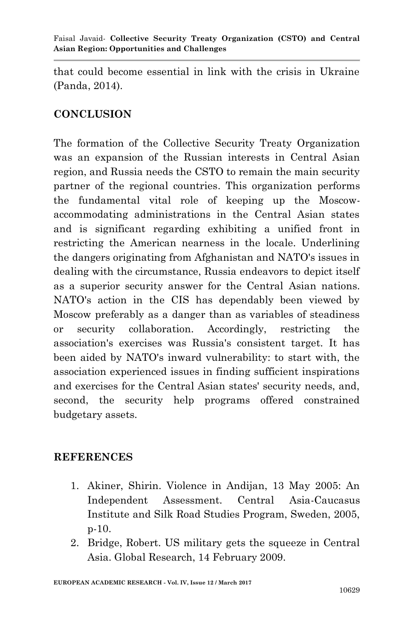that could become essential in link with the crisis in Ukraine (Panda, 2014).

# **CONCLUSION**

The formation of the Collective Security Treaty Organization was an expansion of the Russian interests in Central Asian region, and Russia needs the CSTO to remain the main security partner of the regional countries. This organization performs the fundamental vital role of keeping up the Moscowaccommodating administrations in the Central Asian states and is significant regarding exhibiting a unified front in restricting the American nearness in the locale. Underlining the dangers originating from Afghanistan and NATO's issues in dealing with the circumstance, Russia endeavors to depict itself as a superior security answer for the Central Asian nations. NATO's action in the CIS has dependably been viewed by Moscow preferably as a danger than as variables of steadiness or security collaboration. Accordingly, restricting the association's exercises was Russia's consistent target. It has been aided by NATO's inward vulnerability: to start with, the association experienced issues in finding sufficient inspirations and exercises for the Central Asian states' security needs, and, second, the security help programs offered constrained budgetary assets.

### **REFERENCES**

- 1. Akiner, Shirin. Violence in Andijan, 13 May 2005: An Independent Assessment. Central Asia-Caucasus Institute and Silk Road Studies Program, Sweden, 2005, p-10.
- 2. Bridge, Robert. US military gets the squeeze in Central Asia. Global Research, 14 February 2009.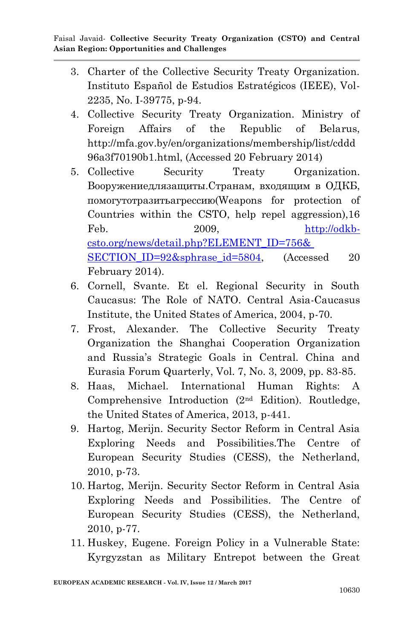- 3. Charter of the Collective Security Treaty Organization. Instituto Español de Estudios Estratégicos (IEEE), Vol-2235, No. I-39775, p-94.
- 4. Collective Security Treaty Organization. Ministry of Foreign Affairs of the Republic of Belarus, http://mfa.gov.by/en/organizations/membership/list/cddd 96a3f70190b1.html, (Accessed 20 February 2014)
- 5. Collective Security Treaty Organization. Вооружениедлязащиты.Странам, входящим в ОДКБ, помогутотразитьагрессию(Weapons for protection of Countries within the CSTO, help repel aggression),16 Feb. 2009, [http://odkb](http://odkb-csto.org/news/detail.php?ELEMENT_ID=756&%20SECTION_ID=92&sphrase_id=5804)[csto.org/news/detail.php?ELEMENT\\_ID=756&](http://odkb-csto.org/news/detail.php?ELEMENT_ID=756&%20SECTION_ID=92&sphrase_id=5804)  SECTION ID=92&sphrase id=5804, (Accessed 20 February 2014).
- 6. Cornell, Svante. Et el. Regional Security in South Caucasus: The Role of NATO. Central Asia-Caucasus Institute, the United States of America, 2004, p-70.
- 7. Frost, Alexander. The Collective Security Treaty Organization the Shanghai Cooperation Organization and Russia"s Strategic Goals in Central. China and Eurasia Forum Quarterly, Vol. 7, No. 3, 2009, pp. 83-85.
- 8. Haas, Michael. International Human Rights: A Comprehensive Introduction (2nd Edition). Routledge, the United States of America, 2013, p-441.
- 9. Hartog, Merijn. Security Sector Reform in Central Asia Exploring Needs and Possibilities.The Centre of European Security Studies (CESS), the Netherland, 2010, p-73.
- 10. Hartog, Merijn. Security Sector Reform in Central Asia Exploring Needs and Possibilities. The Centre of European Security Studies (CESS), the Netherland, 2010, p-77.
- 11. Huskey, Eugene. Foreign Policy in a Vulnerable State: Kyrgyzstan as Military Entrepot between the Great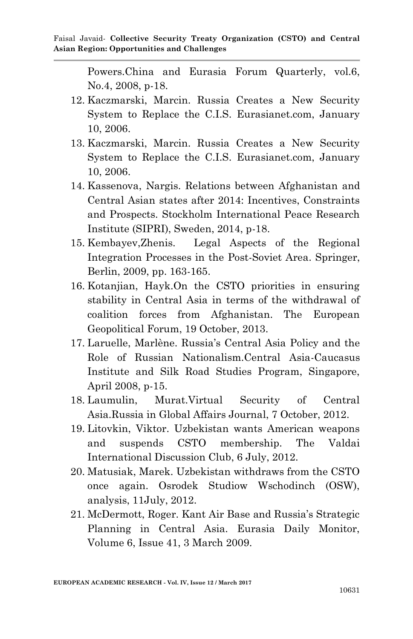Powers.China and Eurasia Forum Quarterly, vol.6, No.4, 2008, p-18.

- 12. Kaczmarski, Marcin. Russia Creates a New Security System to Replace the C.I.S. Eurasianet.com, January 10, 2006.
- 13. Kaczmarski, Marcin. Russia Creates a New Security System to Replace the C.I.S. Eurasianet.com, January 10, 2006.
- 14. Kassenova, Nargis. Relations between Afghanistan and Central Asian states after 2014: Incentives, Constraints and Prospects. Stockholm International Peace Research Institute (SIPRI), Sweden, 2014, p-18.
- 15. Kembayev,Zhenis. Legal Aspects of the Regional Integration Processes in the Post-Soviet Area. Springer, Berlin, 2009, pp. 163-165.
- 16. Kotanjian, Hayk.On the CSTO priorities in ensuring stability in Central Asia in terms of the withdrawal of coalition forces from Afghanistan. The European Geopolitical Forum, 19 October, 2013.
- 17. Laruelle, Marlène. Russia"s Central Asia Policy and the Role of Russian Nationalism.Central Asia-Caucasus Institute and Silk Road Studies Program, Singapore, April 2008, p-15.
- 18. Laumulin, Murat.Virtual Security of Central Asia.Russia in Global Affairs Journal, 7 October, 2012.
- 19. Litovkin, Viktor. Uzbekistan wants American weapons and suspends CSTO membership. The Valdai International Discussion Club, 6 July, 2012.
- 20. Matusiak, Marek. Uzbekistan withdraws from the CSTO once again. Osrodek Studiow Wschodinch (OSW), analysis, 11July, 2012.
- 21. McDermott, Roger. Kant Air Base and Russia"s Strategic Planning in Central Asia. Eurasia Daily Monitor, Volume 6, Issue 41, 3 March 2009.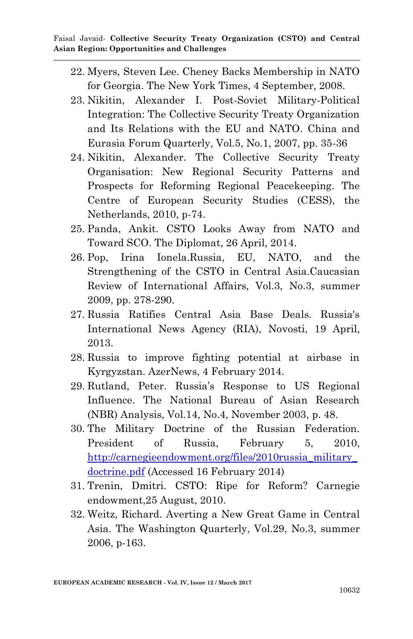- 22. Myers, Steven Lee. Cheney Backs Membership in NATO for Georgia. The New York Times, 4 September, 2008.
- 23. Nikitin, Alexander I. Post-Soviet Military-Political Integration: The Collective Security Treaty Organization and Its Relations with the EU and NATO. China and Eurasia Forum Quarterly, Vol.5, No.1, 2007, pp. 35-36
- 24. Nikitin, Alexander. The Collective Security Treaty Organisation: New Regional Security Patterns and Prospects for Reforming Regional Peacekeeping. The Centre of European Security Studies (CESS), the Netherlands, 2010, p-74.
- 25. Panda, Ankit. CSTO Looks Away from NATO and Toward SCO. The Diplomat, 26 April, 2014.
- 26. Pop, Irina Ionela.Russia, EU, NATO, and the Strengthening of the CSTO in Central Asia.Caucasian Review of International Affairs, Vol.3, No.3, summer 2009, pp. 278-290.
- 27. Russia Ratifies Central Asia Base Deals. Russia's International News Agency (RIA), Novosti, 19 April, 2013.
- 28. Russia to improve fighting potential at airbase in Kyrgyzstan. AzerNews, 4 February 2014.
- 29. Rutland, Peter. Russia"s Response to US Regional Influence. The National Bureau of Asian Research (NBR) Analysis, Vol.14, No.4, November 2003, p. 48.
- 30. The Military Doctrine of the Russian Federation. President of Russia, February 5, 2010, http://carnegieendowment.org/files/2010russia\_military [doctrine.pdf](http://carnegieendowment.org/files/2010russia_military_doctrine.pdf) (Accessed 16 February 2014)
- 31. Trenin, Dmitri. CSTO: Ripe for Reform? Carnegie endowment,25 August, 2010.
- 32. Weitz, Richard. Averting a New Great Game in Central Asia. The Washington Quarterly, Vol.29, No.3, summer 2006, p-163.